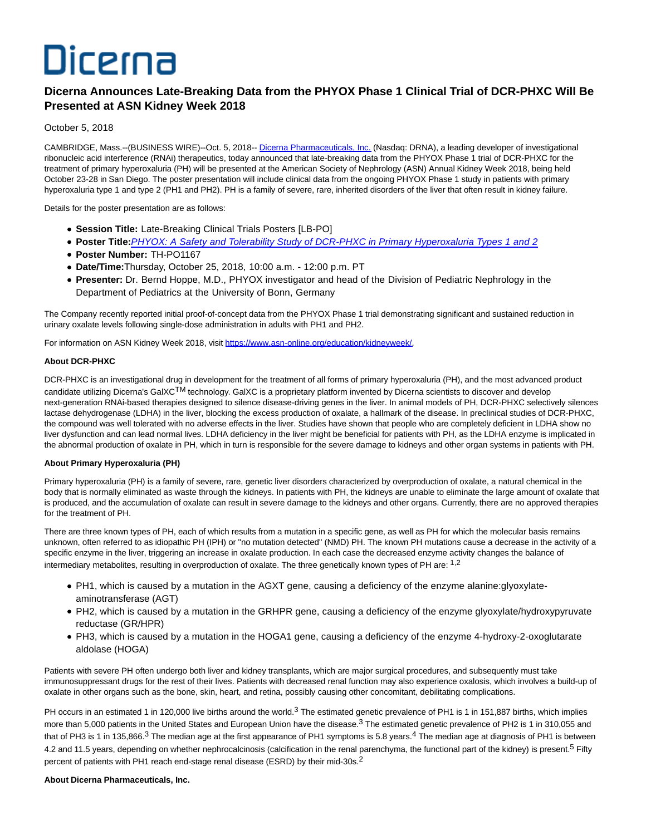# Dicerna

## **Dicerna Announces Late-Breaking Data from the PHYOX Phase 1 Clinical Trial of DCR-PHXC Will Be Presented at ASN Kidney Week 2018**

### October 5, 2018

CAMBRIDGE, Mass.--(BUSINESS WIRE)--Oct. 5, 2018-- [Dicerna Pharmaceuticals, Inc. \(](http://cts.businesswire.com/ct/CT?id=smartlink&url=https%3A%2F%2Fdicerna.com%2F&esheet=51878622&newsitemid=20181005005423&lan=en-US&anchor=Dicerna+Pharmaceuticals%2C+Inc.&index=1&md5=8a83c3128c4bdeef53e23a8e5ad531d5)Nasdaq: DRNA), a leading developer of investigational ribonucleic acid interference (RNAi) therapeutics, today announced that late-breaking data from the PHYOX Phase 1 trial of DCR-PHXC for the treatment of primary hyperoxaluria (PH) will be presented at the American Society of Nephrology (ASN) Annual Kidney Week 2018, being held October 23-28 in San Diego. The poster presentation will include clinical data from the ongoing PHYOX Phase 1 study in patients with primary hyperoxaluria type 1 and type 2 (PH1 and PH2). PH is a family of severe, rare, inherited disorders of the liver that often result in kidney failure.

Details for the poster presentation are as follows:

- **Session Title:** Late-Breaking Clinical Trials Posters [LB-PO]
- **Poster Title:**[PHYOX: A Safety and Tolerability Study of DCR-PHXC in Primary Hyperoxaluria Types 1 and 2](http://cts.businesswire.com/ct/CT?id=smartlink&url=https%3A%2F%2Fwww.asn-online.org%2Feducation%2Fkidneyweek%2F2018%2FKW18_LBCT_Presentations.pdf&esheet=51878622&newsitemid=20181005005423&lan=en-US&anchor=PHYOX%3A+A+Safety+and+Tolerability+Study+of+DCR-PHXC+in+Primary+Hyperoxaluria+Types+1+and+2&index=2&md5=7cb7e7d1eac65bab7a2f12b015cc11da)
- **Poster Number:** TH-PO1167
- **Date/Time:**Thursday, October 25, 2018, 10:00 a.m. 12:00 p.m. PT
- **Presenter:** Dr. Bernd Hoppe, M.D., PHYOX investigator and head of the Division of Pediatric Nephrology in the Department of Pediatrics at the University of Bonn, Germany

The Company recently reported initial proof-of-concept data from the PHYOX Phase 1 trial demonstrating significant and sustained reduction in urinary oxalate levels following single-dose administration in adults with PH1 and PH2.

For information on ASN Kidney Week 2018, visit [https://www.asn-online.org/education/kidneyweek/.](http://cts.businesswire.com/ct/CT?id=smartlink&url=https%3A%2F%2Fwww.asn-online.org%2Feducation%2Fkidneyweek%2F&esheet=51878622&newsitemid=20181005005423&lan=en-US&anchor=https%3A%2F%2Fwww.asn-online.org%2Feducation%2Fkidneyweek%2F&index=3&md5=6f2a10acd56184f65446bf49db46e0c6)

#### **About DCR-PHXC**

DCR-PHXC is an investigational drug in development for the treatment of all forms of primary hyperoxaluria (PH), and the most advanced product candidate utilizing Dicerna's GalXC<sup>TM</sup> technology. GalXC is a proprietary platform invented by Dicerna scientists to discover and develop next-generation RNAi-based therapies designed to silence disease-driving genes in the liver. In animal models of PH, DCR-PHXC selectively silences lactase dehydrogenase (LDHA) in the liver, blocking the excess production of oxalate, a hallmark of the disease. In preclinical studies of DCR-PHXC, the compound was well tolerated with no adverse effects in the liver. Studies have shown that people who are completely deficient in LDHA show no liver dysfunction and can lead normal lives. LDHA deficiency in the liver might be beneficial for patients with PH, as the LDHA enzyme is implicated in the abnormal production of oxalate in PH, which in turn is responsible for the severe damage to kidneys and other organ systems in patients with PH.

#### **About Primary Hyperoxaluria (PH)**

Primary hyperoxaluria (PH) is a family of severe, rare, genetic liver disorders characterized by overproduction of oxalate, a natural chemical in the body that is normally eliminated as waste through the kidneys. In patients with PH, the kidneys are unable to eliminate the large amount of oxalate that is produced, and the accumulation of oxalate can result in severe damage to the kidneys and other organs. Currently, there are no approved therapies for the treatment of PH.

There are three known types of PH, each of which results from a mutation in a specific gene, as well as PH for which the molecular basis remains unknown, often referred to as idiopathic PH (IPH) or "no mutation detected" (NMD) PH. The known PH mutations cause a decrease in the activity of a specific enzyme in the liver, triggering an increase in oxalate production. In each case the decreased enzyme activity changes the balance of intermediary metabolites, resulting in overproduction of oxalate. The three genetically known types of PH are:  $1,2$ 

- PH1, which is caused by a mutation in the AGXT gene, causing a deficiency of the enzyme alanine:glyoxylateaminotransferase (AGT)
- PH2, which is caused by a mutation in the GRHPR gene, causing a deficiency of the enzyme glyoxylate/hydroxypyruvate reductase (GR/HPR)
- PH3, which is caused by a mutation in the HOGA1 gene, causing a deficiency of the enzyme 4-hydroxy-2-oxoglutarate aldolase (HOGA)

Patients with severe PH often undergo both liver and kidney transplants, which are major surgical procedures, and subsequently must take immunosuppressant drugs for the rest of their lives. Patients with decreased renal function may also experience oxalosis, which involves a build-up of oxalate in other organs such as the bone, skin, heart, and retina, possibly causing other concomitant, debilitating complications.

PH occurs in an estimated 1 in 120,000 live births around the world.<sup>3</sup> The estimated genetic prevalence of PH1 is 1 in 151,887 births, which implies more than 5,000 patients in the United States and European Union have the disease.<sup>3</sup> The estimated genetic prevalence of PH2 is 1 in 310,055 and that of PH3 is 1 in 135,866.<sup>3</sup> The median age at the first appearance of PH1 symptoms is 5.8 years.<sup>4</sup> The median age at diagnosis of PH1 is between 4.2 and 11.5 years, depending on whether nephrocalcinosis (calcification in the renal parenchyma, the functional part of the kidney) is present.<sup>5</sup> Fifty percent of patients with PH1 reach end-stage renal disease (ESRD) by their mid-30s.2

#### **About Dicerna Pharmaceuticals, Inc.**